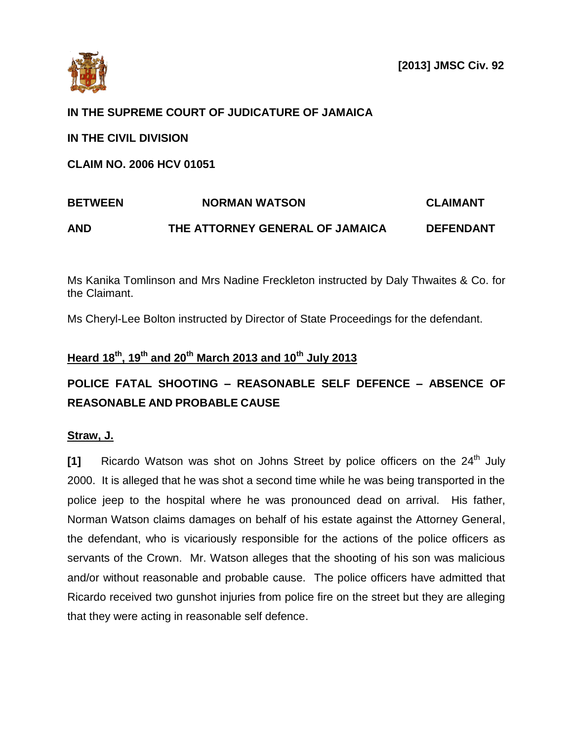

## **IN THE SUPREME COURT OF JUDICATURE OF JAMAICA**

**IN THE CIVIL DIVISION**

**CLAIM NO. 2006 HCV 01051**

# **BETWEEN NORMAN WATSON CLAIMANT AND THE ATTORNEY GENERAL OF JAMAICA DEFENDANT**

Ms Kanika Tomlinson and Mrs Nadine Freckleton instructed by Daly Thwaites & Co. for the Claimant.

Ms Cheryl-Lee Bolton instructed by Director of State Proceedings for the defendant.

## **Heard 18th, 19th and 20th March 2013 and 10th July 2013**

## **POLICE FATAL SHOOTING – REASONABLE SELF DEFENCE – ABSENCE OF REASONABLE AND PROBABLE CAUSE**

## **Straw, J.**

**[1]** Ricardo Watson was shot on Johns Street by police officers on the 24<sup>th</sup> July 2000. It is alleged that he was shot a second time while he was being transported in the police jeep to the hospital where he was pronounced dead on arrival. His father, Norman Watson claims damages on behalf of his estate against the Attorney General, the defendant, who is vicariously responsible for the actions of the police officers as servants of the Crown. Mr. Watson alleges that the shooting of his son was malicious and/or without reasonable and probable cause. The police officers have admitted that Ricardo received two gunshot injuries from police fire on the street but they are alleging that they were acting in reasonable self defence.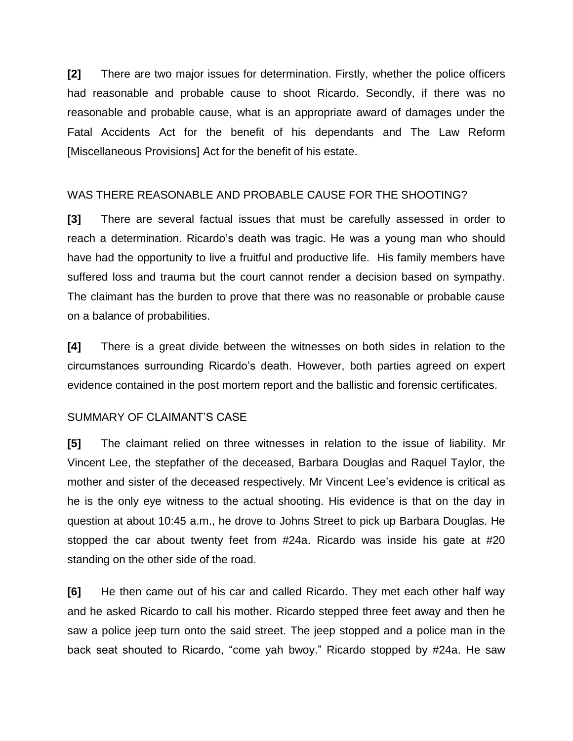**[2]** There are two major issues for determination. Firstly, whether the police officers had reasonable and probable cause to shoot Ricardo. Secondly, if there was no reasonable and probable cause, what is an appropriate award of damages under the Fatal Accidents Act for the benefit of his dependants and The Law Reform [Miscellaneous Provisions] Act for the benefit of his estate.

## WAS THERE REASONABLE AND PROBABLE CAUSE FOR THE SHOOTING?

**[3]** There are several factual issues that must be carefully assessed in order to reach a determination. Ricardo's death was tragic. He was a young man who should have had the opportunity to live a fruitful and productive life. His family members have suffered loss and trauma but the court cannot render a decision based on sympathy. The claimant has the burden to prove that there was no reasonable or probable cause on a balance of probabilities.

**[4]** There is a great divide between the witnesses on both sides in relation to the circumstances surrounding Ricardo's death. However, both parties agreed on expert evidence contained in the post mortem report and the ballistic and forensic certificates.

## SUMMARY OF CLAIMANT'S CASE

**[5]** The claimant relied on three witnesses in relation to the issue of liability. Mr Vincent Lee, the stepfather of the deceased, Barbara Douglas and Raquel Taylor, the mother and sister of the deceased respectively. Mr Vincent Lee's evidence is critical as he is the only eye witness to the actual shooting. His evidence is that on the day in question at about 10:45 a.m., he drove to Johns Street to pick up Barbara Douglas. He stopped the car about twenty feet from #24a. Ricardo was inside his gate at #20 standing on the other side of the road.

**[6]** He then came out of his car and called Ricardo. They met each other half way and he asked Ricardo to call his mother. Ricardo stepped three feet away and then he saw a police jeep turn onto the said street. The jeep stopped and a police man in the back seat shouted to Ricardo, "come yah bwoy." Ricardo stopped by #24a. He saw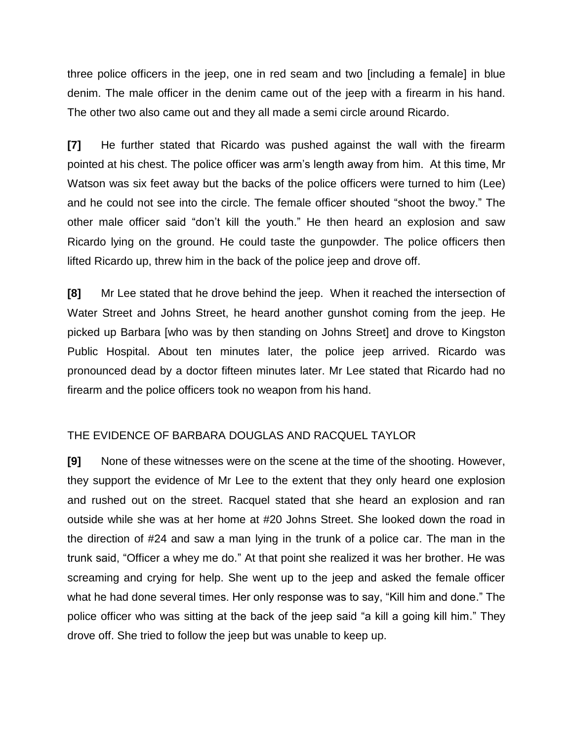three police officers in the jeep, one in red seam and two [including a female] in blue denim. The male officer in the denim came out of the jeep with a firearm in his hand. The other two also came out and they all made a semi circle around Ricardo.

**[7]** He further stated that Ricardo was pushed against the wall with the firearm pointed at his chest. The police officer was arm's length away from him. At this time, Mr Watson was six feet away but the backs of the police officers were turned to him (Lee) and he could not see into the circle. The female officer shouted "shoot the bwoy." The other male officer said "don't kill the youth." He then heard an explosion and saw Ricardo lying on the ground. He could taste the gunpowder. The police officers then lifted Ricardo up, threw him in the back of the police jeep and drove off.

**[8]** Mr Lee stated that he drove behind the jeep. When it reached the intersection of Water Street and Johns Street, he heard another gunshot coming from the jeep. He picked up Barbara [who was by then standing on Johns Street] and drove to Kingston Public Hospital. About ten minutes later, the police jeep arrived. Ricardo was pronounced dead by a doctor fifteen minutes later. Mr Lee stated that Ricardo had no firearm and the police officers took no weapon from his hand.

## THE EVIDENCE OF BARBARA DOUGLAS AND RACQUEL TAYLOR

**[9]** None of these witnesses were on the scene at the time of the shooting. However, they support the evidence of Mr Lee to the extent that they only heard one explosion and rushed out on the street. Racquel stated that she heard an explosion and ran outside while she was at her home at #20 Johns Street. She looked down the road in the direction of #24 and saw a man lying in the trunk of a police car. The man in the trunk said, "Officer a whey me do." At that point she realized it was her brother. He was screaming and crying for help. She went up to the jeep and asked the female officer what he had done several times. Her only response was to say, "Kill him and done." The police officer who was sitting at the back of the jeep said "a kill a going kill him." They drove off. She tried to follow the jeep but was unable to keep up.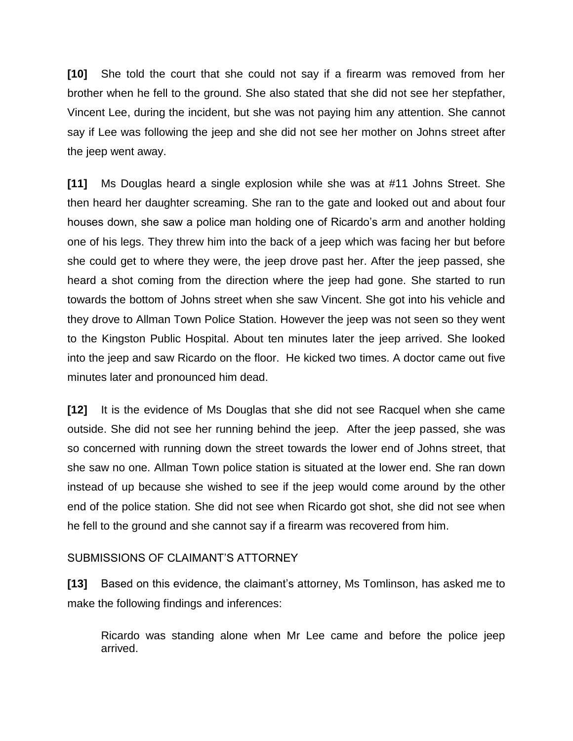**[10]** She told the court that she could not say if a firearm was removed from her brother when he fell to the ground. She also stated that she did not see her stepfather, Vincent Lee, during the incident, but she was not paying him any attention. She cannot say if Lee was following the jeep and she did not see her mother on Johns street after the jeep went away.

**[11]** Ms Douglas heard a single explosion while she was at #11 Johns Street. She then heard her daughter screaming. She ran to the gate and looked out and about four houses down, she saw a police man holding one of Ricardo's arm and another holding one of his legs. They threw him into the back of a jeep which was facing her but before she could get to where they were, the jeep drove past her. After the jeep passed, she heard a shot coming from the direction where the jeep had gone. She started to run towards the bottom of Johns street when she saw Vincent. She got into his vehicle and they drove to Allman Town Police Station. However the jeep was not seen so they went to the Kingston Public Hospital. About ten minutes later the jeep arrived. She looked into the jeep and saw Ricardo on the floor. He kicked two times. A doctor came out five minutes later and pronounced him dead.

**[12]** It is the evidence of Ms Douglas that she did not see Racquel when she came outside. She did not see her running behind the jeep. After the jeep passed, she was so concerned with running down the street towards the lower end of Johns street, that she saw no one. Allman Town police station is situated at the lower end. She ran down instead of up because she wished to see if the jeep would come around by the other end of the police station. She did not see when Ricardo got shot, she did not see when he fell to the ground and she cannot say if a firearm was recovered from him.

## SUBMISSIONS OF CLAIMANT'S ATTORNEY

**[13]** Based on this evidence, the claimant's attorney, Ms Tomlinson, has asked me to make the following findings and inferences:

Ricardo was standing alone when Mr Lee came and before the police jeep arrived.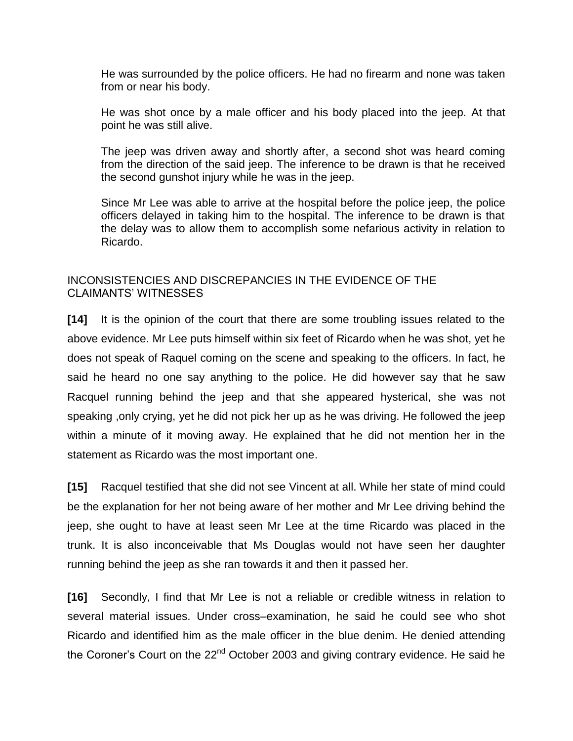He was surrounded by the police officers. He had no firearm and none was taken from or near his body.

He was shot once by a male officer and his body placed into the jeep. At that point he was still alive.

The jeep was driven away and shortly after, a second shot was heard coming from the direction of the said jeep. The inference to be drawn is that he received the second gunshot injury while he was in the jeep.

Since Mr Lee was able to arrive at the hospital before the police jeep, the police officers delayed in taking him to the hospital. The inference to be drawn is that the delay was to allow them to accomplish some nefarious activity in relation to Ricardo.

## INCONSISTENCIES AND DISCREPANCIES IN THE EVIDENCE OF THE CLAIMANTS' WITNESSES

**[14]** It is the opinion of the court that there are some troubling issues related to the above evidence. Mr Lee puts himself within six feet of Ricardo when he was shot, yet he does not speak of Raquel coming on the scene and speaking to the officers. In fact, he said he heard no one say anything to the police. He did however say that he saw Racquel running behind the jeep and that she appeared hysterical, she was not speaking ,only crying, yet he did not pick her up as he was driving. He followed the jeep within a minute of it moving away. He explained that he did not mention her in the statement as Ricardo was the most important one.

**[15]** Racquel testified that she did not see Vincent at all. While her state of mind could be the explanation for her not being aware of her mother and Mr Lee driving behind the jeep, she ought to have at least seen Mr Lee at the time Ricardo was placed in the trunk. It is also inconceivable that Ms Douglas would not have seen her daughter running behind the jeep as she ran towards it and then it passed her.

**[16]** Secondly, I find that Mr Lee is not a reliable or credible witness in relation to several material issues. Under cross–examination, he said he could see who shot Ricardo and identified him as the male officer in the blue denim. He denied attending the Coroner's Court on the  $22<sup>nd</sup>$  October 2003 and giving contrary evidence. He said he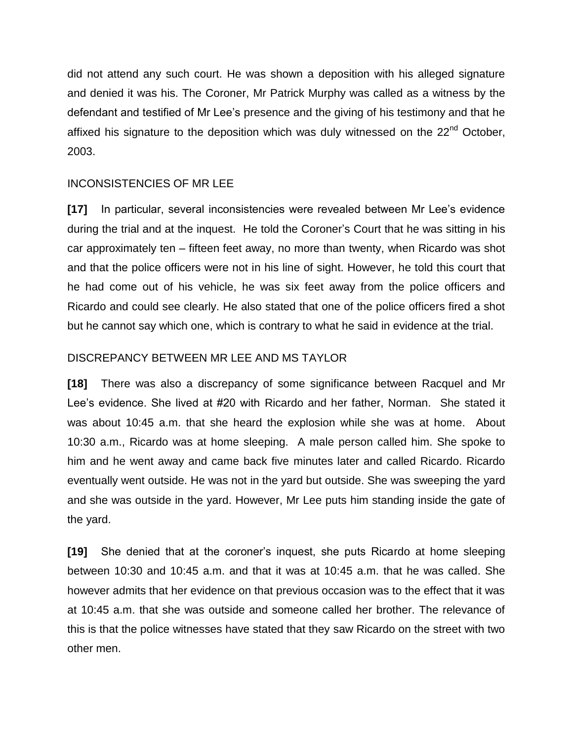did not attend any such court. He was shown a deposition with his alleged signature and denied it was his. The Coroner, Mr Patrick Murphy was called as a witness by the defendant and testified of Mr Lee's presence and the giving of his testimony and that he affixed his signature to the deposition which was duly witnessed on the 22<sup>nd</sup> October, 2003.

## INCONSISTENCIES OF MR LEE

**[17]** In particular, several inconsistencies were revealed between Mr Lee's evidence during the trial and at the inquest. He told the Coroner's Court that he was sitting in his car approximately ten – fifteen feet away, no more than twenty, when Ricardo was shot and that the police officers were not in his line of sight. However, he told this court that he had come out of his vehicle, he was six feet away from the police officers and Ricardo and could see clearly. He also stated that one of the police officers fired a shot but he cannot say which one, which is contrary to what he said in evidence at the trial.

## DISCREPANCY BETWEEN MR LEE AND MS TAYLOR

**[18]** There was also a discrepancy of some significance between Racquel and Mr Lee's evidence. She lived at #20 with Ricardo and her father, Norman. She stated it was about 10:45 a.m. that she heard the explosion while she was at home. About 10:30 a.m., Ricardo was at home sleeping. A male person called him. She spoke to him and he went away and came back five minutes later and called Ricardo. Ricardo eventually went outside. He was not in the yard but outside. She was sweeping the yard and she was outside in the yard. However, Mr Lee puts him standing inside the gate of the yard.

**[19]** She denied that at the coroner's inquest, she puts Ricardo at home sleeping between 10:30 and 10:45 a.m. and that it was at 10:45 a.m. that he was called. She however admits that her evidence on that previous occasion was to the effect that it was at 10:45 a.m. that she was outside and someone called her brother. The relevance of this is that the police witnesses have stated that they saw Ricardo on the street with two other men.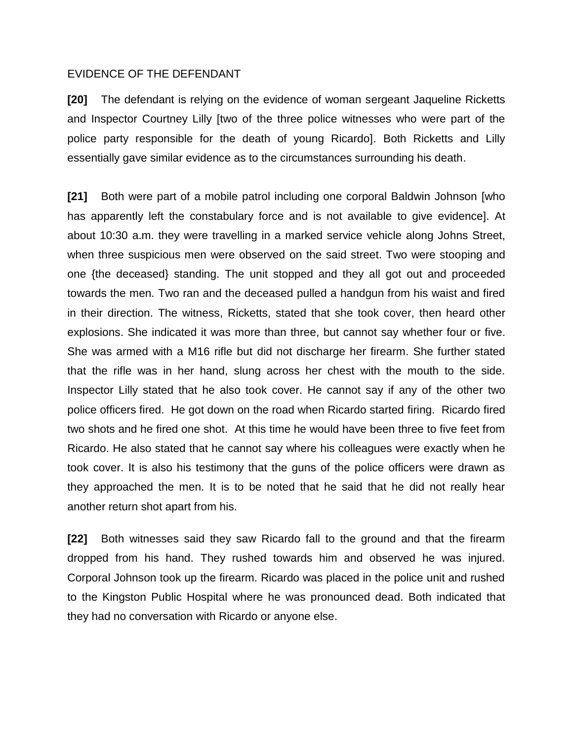#### EVIDENCE OF THE DEFENDANT

**[20]** The defendant is relying on the evidence of woman sergeant Jaqueline Ricketts and Inspector Courtney Lilly [two of the three police witnesses who were part of the police party responsible for the death of young Ricardo]. Both Ricketts and Lilly essentially gave similar evidence as to the circumstances surrounding his death.

**[21]** Both were part of a mobile patrol including one corporal Baldwin Johnson [who has apparently left the constabulary force and is not available to give evidence]. At about 10:30 a.m. they were travelling in a marked service vehicle along Johns Street, when three suspicious men were observed on the said street. Two were stooping and one {the deceased} standing. The unit stopped and they all got out and proceeded towards the men. Two ran and the deceased pulled a handgun from his waist and fired in their direction. The witness, Ricketts, stated that she took cover, then heard other explosions. She indicated it was more than three, but cannot say whether four or five. She was armed with a M16 rifle but did not discharge her firearm. She further stated that the rifle was in her hand, slung across her chest with the mouth to the side. Inspector Lilly stated that he also took cover. He cannot say if any of the other two police officers fired. He got down on the road when Ricardo started firing. Ricardo fired two shots and he fired one shot. At this time he would have been three to five feet from Ricardo. He also stated that he cannot say where his colleagues were exactly when he took cover. It is also his testimony that the guns of the police officers were drawn as they approached the men. It is to be noted that he said that he did not really hear another return shot apart from his.

**[22]** Both witnesses said they saw Ricardo fall to the ground and that the firearm dropped from his hand. They rushed towards him and observed he was injured. Corporal Johnson took up the firearm. Ricardo was placed in the police unit and rushed to the Kingston Public Hospital where he was pronounced dead. Both indicated that they had no conversation with Ricardo or anyone else.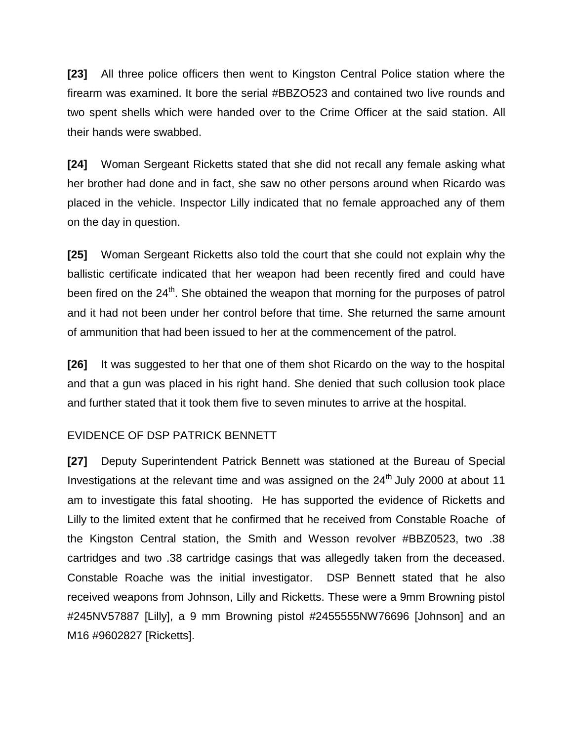**[23]** All three police officers then went to Kingston Central Police station where the firearm was examined. It bore the serial #BBZO523 and contained two live rounds and two spent shells which were handed over to the Crime Officer at the said station. All their hands were swabbed.

**[24]** Woman Sergeant Ricketts stated that she did not recall any female asking what her brother had done and in fact, she saw no other persons around when Ricardo was placed in the vehicle. Inspector Lilly indicated that no female approached any of them on the day in question.

**[25]** Woman Sergeant Ricketts also told the court that she could not explain why the ballistic certificate indicated that her weapon had been recently fired and could have been fired on the 24<sup>th</sup>. She obtained the weapon that morning for the purposes of patrol and it had not been under her control before that time. She returned the same amount of ammunition that had been issued to her at the commencement of the patrol.

**[26]** It was suggested to her that one of them shot Ricardo on the way to the hospital and that a gun was placed in his right hand. She denied that such collusion took place and further stated that it took them five to seven minutes to arrive at the hospital.

## EVIDENCE OF DSP PATRICK BENNETT

**[27]** Deputy Superintendent Patrick Bennett was stationed at the Bureau of Special Investigations at the relevant time and was assigned on the  $24<sup>th</sup>$  July 2000 at about 11 am to investigate this fatal shooting. He has supported the evidence of Ricketts and Lilly to the limited extent that he confirmed that he received from Constable Roache of the Kingston Central station, the Smith and Wesson revolver #BBZ0523, two .38 cartridges and two .38 cartridge casings that was allegedly taken from the deceased. Constable Roache was the initial investigator. DSP Bennett stated that he also received weapons from Johnson, Lilly and Ricketts. These were a 9mm Browning pistol #245NV57887 [Lilly], a 9 mm Browning pistol #2455555NW76696 [Johnson] and an M16 #9602827 [Ricketts].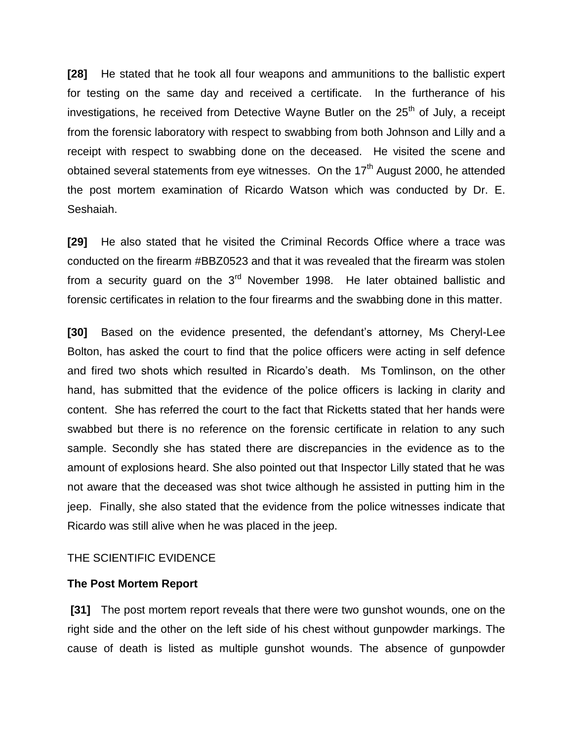**[28]** He stated that he took all four weapons and ammunitions to the ballistic expert for testing on the same day and received a certificate. In the furtherance of his investigations, he received from Detective Wayne Butler on the 25<sup>th</sup> of July, a receipt from the forensic laboratory with respect to swabbing from both Johnson and Lilly and a receipt with respect to swabbing done on the deceased. He visited the scene and obtained several statements from eye witnesses. On the  $17<sup>th</sup>$  August 2000, he attended the post mortem examination of Ricardo Watson which was conducted by Dr. E. Seshaiah.

**[29]** He also stated that he visited the Criminal Records Office where a trace was conducted on the firearm #BBZ0523 and that it was revealed that the firearm was stolen from a security guard on the  $3<sup>rd</sup>$  November 1998. He later obtained ballistic and forensic certificates in relation to the four firearms and the swabbing done in this matter.

**[30]** Based on the evidence presented, the defendant's attorney, Ms Cheryl-Lee Bolton, has asked the court to find that the police officers were acting in self defence and fired two shots which resulted in Ricardo's death. Ms Tomlinson, on the other hand, has submitted that the evidence of the police officers is lacking in clarity and content. She has referred the court to the fact that Ricketts stated that her hands were swabbed but there is no reference on the forensic certificate in relation to any such sample. Secondly she has stated there are discrepancies in the evidence as to the amount of explosions heard. She also pointed out that Inspector Lilly stated that he was not aware that the deceased was shot twice although he assisted in putting him in the jeep. Finally, she also stated that the evidence from the police witnesses indicate that Ricardo was still alive when he was placed in the jeep.

## THE SCIENTIFIC EVIDENCE

#### **The Post Mortem Report**

**[31]** The post mortem report reveals that there were two gunshot wounds, one on the right side and the other on the left side of his chest without gunpowder markings. The cause of death is listed as multiple gunshot wounds. The absence of gunpowder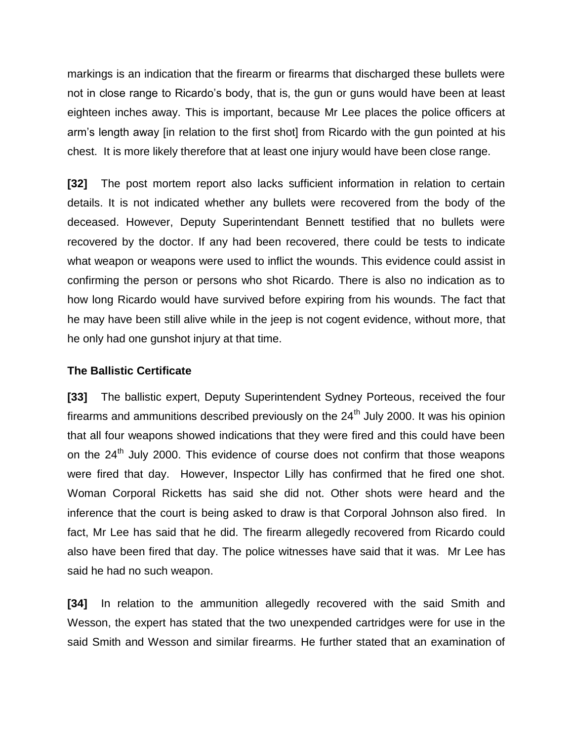markings is an indication that the firearm or firearms that discharged these bullets were not in close range to Ricardo's body, that is, the gun or guns would have been at least eighteen inches away. This is important, because Mr Lee places the police officers at arm's length away [in relation to the first shot] from Ricardo with the gun pointed at his chest. It is more likely therefore that at least one injury would have been close range.

**[32]** The post mortem report also lacks sufficient information in relation to certain details. It is not indicated whether any bullets were recovered from the body of the deceased. However, Deputy Superintendant Bennett testified that no bullets were recovered by the doctor. If any had been recovered, there could be tests to indicate what weapon or weapons were used to inflict the wounds. This evidence could assist in confirming the person or persons who shot Ricardo. There is also no indication as to how long Ricardo would have survived before expiring from his wounds. The fact that he may have been still alive while in the jeep is not cogent evidence, without more, that he only had one gunshot injury at that time.

## **The Ballistic Certificate**

**[33]** The ballistic expert, Deputy Superintendent Sydney Porteous, received the four firearms and ammunitions described previously on the  $24<sup>th</sup>$  July 2000. It was his opinion that all four weapons showed indications that they were fired and this could have been on the 24<sup>th</sup> July 2000. This evidence of course does not confirm that those weapons were fired that day. However, Inspector Lilly has confirmed that he fired one shot. Woman Corporal Ricketts has said she did not. Other shots were heard and the inference that the court is being asked to draw is that Corporal Johnson also fired. In fact, Mr Lee has said that he did. The firearm allegedly recovered from Ricardo could also have been fired that day. The police witnesses have said that it was. Mr Lee has said he had no such weapon.

**[34]** In relation to the ammunition allegedly recovered with the said Smith and Wesson, the expert has stated that the two unexpended cartridges were for use in the said Smith and Wesson and similar firearms. He further stated that an examination of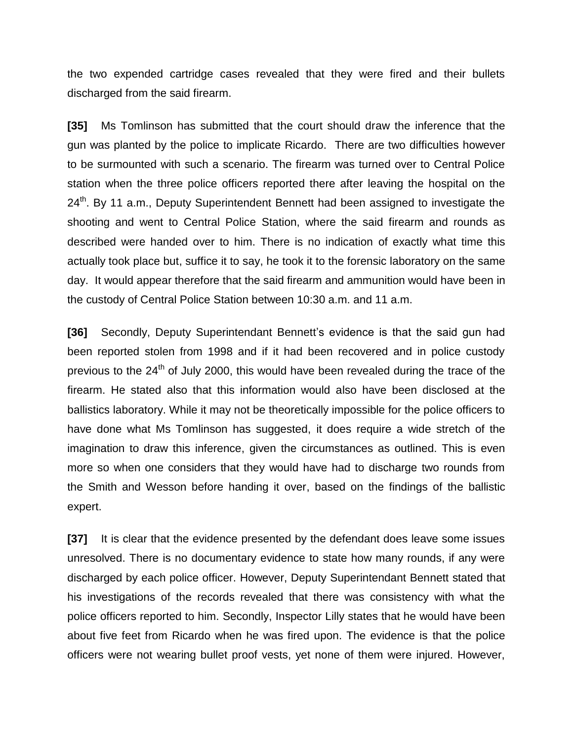the two expended cartridge cases revealed that they were fired and their bullets discharged from the said firearm.

**[35]** Ms Tomlinson has submitted that the court should draw the inference that the gun was planted by the police to implicate Ricardo. There are two difficulties however to be surmounted with such a scenario. The firearm was turned over to Central Police station when the three police officers reported there after leaving the hospital on the 24<sup>th</sup>. By 11 a.m., Deputy Superintendent Bennett had been assigned to investigate the shooting and went to Central Police Station, where the said firearm and rounds as described were handed over to him. There is no indication of exactly what time this actually took place but, suffice it to say, he took it to the forensic laboratory on the same day. It would appear therefore that the said firearm and ammunition would have been in the custody of Central Police Station between 10:30 a.m. and 11 a.m.

**[36]** Secondly, Deputy Superintendant Bennett's evidence is that the said gun had been reported stolen from 1998 and if it had been recovered and in police custody previous to the  $24<sup>th</sup>$  of July 2000, this would have been revealed during the trace of the firearm. He stated also that this information would also have been disclosed at the ballistics laboratory. While it may not be theoretically impossible for the police officers to have done what Ms Tomlinson has suggested, it does require a wide stretch of the imagination to draw this inference, given the circumstances as outlined. This is even more so when one considers that they would have had to discharge two rounds from the Smith and Wesson before handing it over, based on the findings of the ballistic expert.

**[37]** It is clear that the evidence presented by the defendant does leave some issues unresolved. There is no documentary evidence to state how many rounds, if any were discharged by each police officer. However, Deputy Superintendant Bennett stated that his investigations of the records revealed that there was consistency with what the police officers reported to him. Secondly, Inspector Lilly states that he would have been about five feet from Ricardo when he was fired upon. The evidence is that the police officers were not wearing bullet proof vests, yet none of them were injured. However,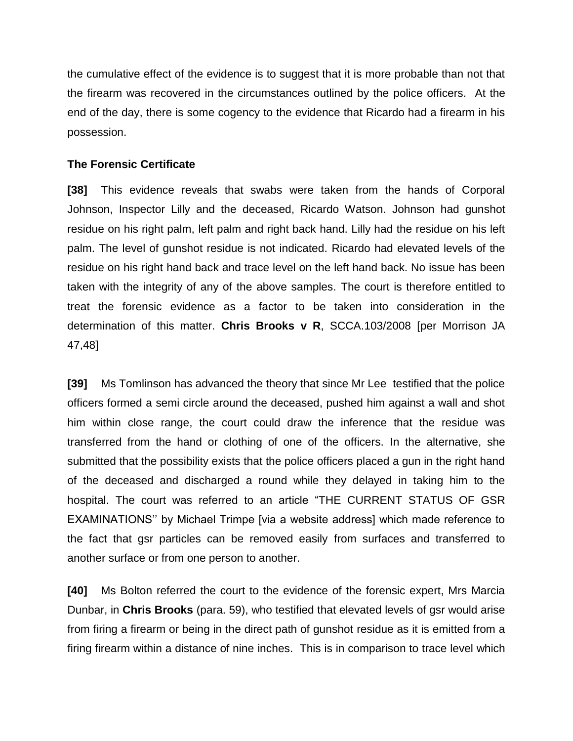the cumulative effect of the evidence is to suggest that it is more probable than not that the firearm was recovered in the circumstances outlined by the police officers. At the end of the day, there is some cogency to the evidence that Ricardo had a firearm in his possession.

## **The Forensic Certificate**

**[38]** This evidence reveals that swabs were taken from the hands of Corporal Johnson, Inspector Lilly and the deceased, Ricardo Watson. Johnson had gunshot residue on his right palm, left palm and right back hand. Lilly had the residue on his left palm. The level of gunshot residue is not indicated. Ricardo had elevated levels of the residue on his right hand back and trace level on the left hand back. No issue has been taken with the integrity of any of the above samples. The court is therefore entitled to treat the forensic evidence as a factor to be taken into consideration in the determination of this matter. **Chris Brooks v R**, SCCA.103/2008 [per Morrison JA 47,48]

**[39]** Ms Tomlinson has advanced the theory that since Mr Lee testified that the police officers formed a semi circle around the deceased, pushed him against a wall and shot him within close range, the court could draw the inference that the residue was transferred from the hand or clothing of one of the officers. In the alternative, she submitted that the possibility exists that the police officers placed a gun in the right hand of the deceased and discharged a round while they delayed in taking him to the hospital. The court was referred to an article "THE CURRENT STATUS OF GSR EXAMINATIONS'' by Michael Trimpe [via a website address] which made reference to the fact that gsr particles can be removed easily from surfaces and transferred to another surface or from one person to another.

**[40]** Ms Bolton referred the court to the evidence of the forensic expert, Mrs Marcia Dunbar, in **Chris Brooks** (para. 59), who testified that elevated levels of gsr would arise from firing a firearm or being in the direct path of gunshot residue as it is emitted from a firing firearm within a distance of nine inches. This is in comparison to trace level which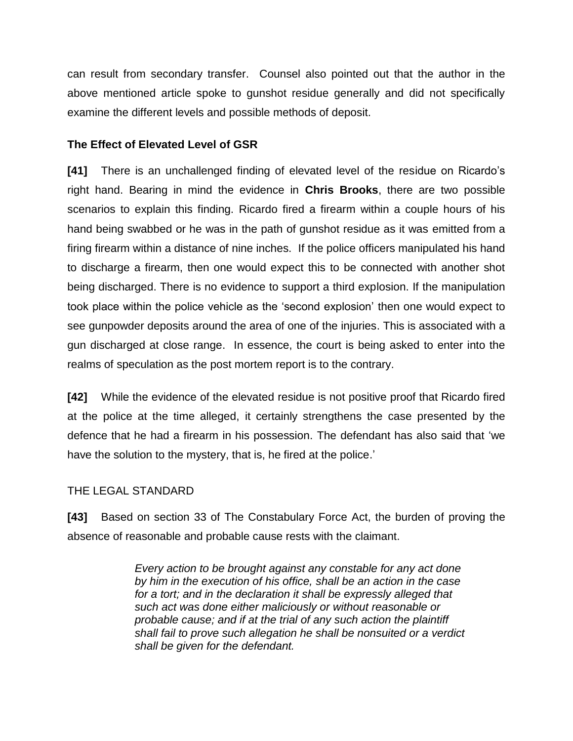can result from secondary transfer. Counsel also pointed out that the author in the above mentioned article spoke to gunshot residue generally and did not specifically examine the different levels and possible methods of deposit.

## **The Effect of Elevated Level of GSR**

**[41]** There is an unchallenged finding of elevated level of the residue on Ricardo's right hand. Bearing in mind the evidence in **Chris Brooks**, there are two possible scenarios to explain this finding. Ricardo fired a firearm within a couple hours of his hand being swabbed or he was in the path of gunshot residue as it was emitted from a firing firearm within a distance of nine inches. If the police officers manipulated his hand to discharge a firearm, then one would expect this to be connected with another shot being discharged. There is no evidence to support a third explosion. If the manipulation took place within the police vehicle as the 'second explosion' then one would expect to see gunpowder deposits around the area of one of the injuries. This is associated with a gun discharged at close range. In essence, the court is being asked to enter into the realms of speculation as the post mortem report is to the contrary.

**[42]** While the evidence of the elevated residue is not positive proof that Ricardo fired at the police at the time alleged, it certainly strengthens the case presented by the defence that he had a firearm in his possession. The defendant has also said that 'we have the solution to the mystery, that is, he fired at the police.'

## THE LEGAL STANDARD

**[43]** Based on section 33 of The Constabulary Force Act, the burden of proving the absence of reasonable and probable cause rests with the claimant.

> *Every action to be brought against any constable for any act done by him in the execution of his office, shall be an action in the case for a tort; and in the declaration it shall be expressly alleged that such act was done either maliciously or without reasonable or probable cause; and if at the trial of any such action the plaintiff shall fail to prove such allegation he shall be nonsuited or a verdict shall be given for the defendant.*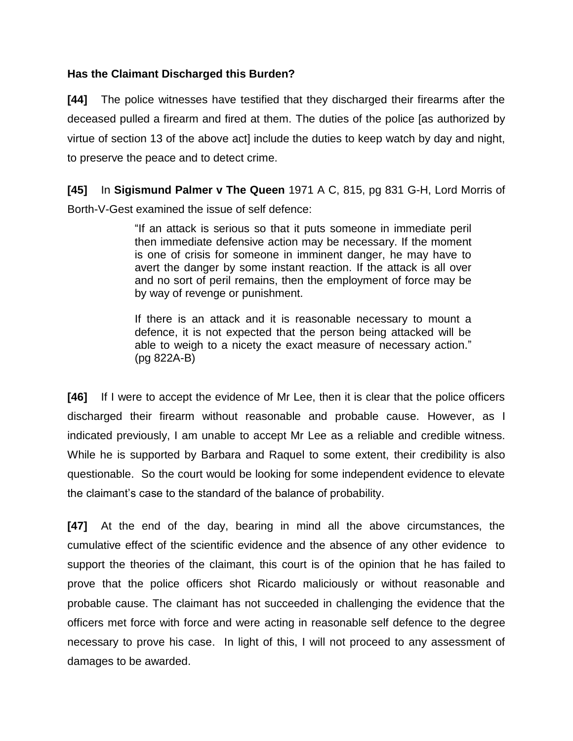## **Has the Claimant Discharged this Burden?**

**[44]** The police witnesses have testified that they discharged their firearms after the deceased pulled a firearm and fired at them. The duties of the police [as authorized by virtue of section 13 of the above act] include the duties to keep watch by day and night, to preserve the peace and to detect crime.

**[45]** In **Sigismund Palmer v The Queen** 1971 A C, 815, pg 831 G-H, Lord Morris of Borth-V-Gest examined the issue of self defence:

> "If an attack is serious so that it puts someone in immediate peril then immediate defensive action may be necessary. If the moment is one of crisis for someone in imminent danger, he may have to avert the danger by some instant reaction. If the attack is all over and no sort of peril remains, then the employment of force may be by way of revenge or punishment.

> If there is an attack and it is reasonable necessary to mount a defence, it is not expected that the person being attacked will be able to weigh to a nicety the exact measure of necessary action." (pg 822A-B)

**[46]** If I were to accept the evidence of Mr Lee, then it is clear that the police officers discharged their firearm without reasonable and probable cause. However, as I indicated previously, I am unable to accept Mr Lee as a reliable and credible witness. While he is supported by Barbara and Raquel to some extent, their credibility is also questionable. So the court would be looking for some independent evidence to elevate the claimant's case to the standard of the balance of probability.

**[47]** At the end of the day, bearing in mind all the above circumstances, the cumulative effect of the scientific evidence and the absence of any other evidence to support the theories of the claimant, this court is of the opinion that he has failed to prove that the police officers shot Ricardo maliciously or without reasonable and probable cause. The claimant has not succeeded in challenging the evidence that the officers met force with force and were acting in reasonable self defence to the degree necessary to prove his case. In light of this, I will not proceed to any assessment of damages to be awarded.